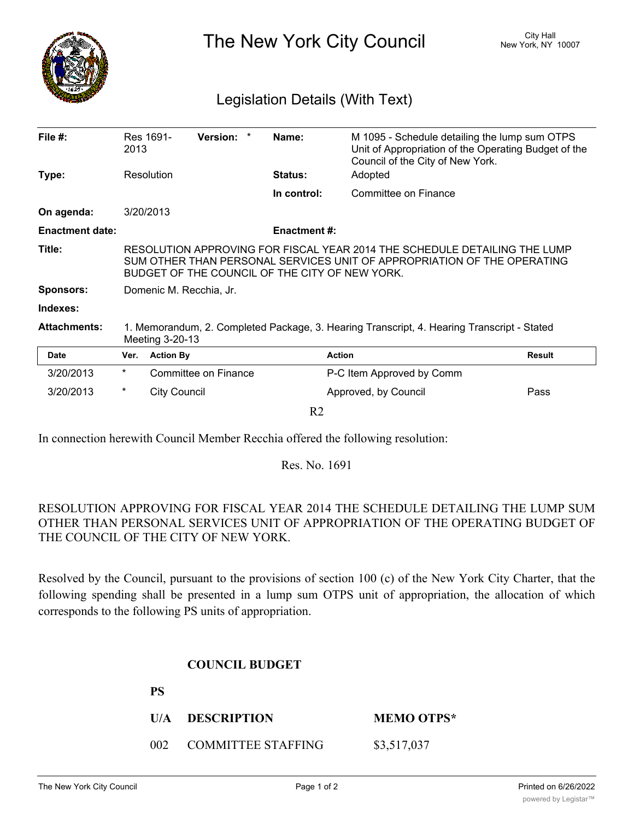

The New York City Council New York, NY 10007

## Legislation Details (With Text)

| File $#$ :             | Res 1691-<br>2013                                                                                                                                                                                      |                     | Version: *           |  | Name:               | M 1095 - Schedule detailing the lump sum OTPS<br>Unit of Appropriation of the Operating Budget of the<br>Council of the City of New York. |        |
|------------------------|--------------------------------------------------------------------------------------------------------------------------------------------------------------------------------------------------------|---------------------|----------------------|--|---------------------|-------------------------------------------------------------------------------------------------------------------------------------------|--------|
| Type:                  |                                                                                                                                                                                                        | Resolution          |                      |  | <b>Status:</b>      | Adopted                                                                                                                                   |        |
|                        |                                                                                                                                                                                                        |                     |                      |  | In control:         | Committee on Finance                                                                                                                      |        |
| On agenda:             | 3/20/2013                                                                                                                                                                                              |                     |                      |  |                     |                                                                                                                                           |        |
| <b>Enactment date:</b> |                                                                                                                                                                                                        |                     |                      |  | <b>Enactment #:</b> |                                                                                                                                           |        |
| Title:                 | RESOLUTION APPROVING FOR FISCAL YEAR 2014 THE SCHEDULE DETAILING THE LUMP<br>SUM OTHER THAN PERSONAL SERVICES UNIT OF APPROPRIATION OF THE OPERATING<br>BUDGET OF THE COUNCIL OF THE CITY OF NEW YORK. |                     |                      |  |                     |                                                                                                                                           |        |
| <b>Sponsors:</b>       | Domenic M. Recchia, Jr.                                                                                                                                                                                |                     |                      |  |                     |                                                                                                                                           |        |
| Indexes:               |                                                                                                                                                                                                        |                     |                      |  |                     |                                                                                                                                           |        |
| <b>Attachments:</b>    | 1. Memorandum, 2. Completed Package, 3. Hearing Transcript, 4. Hearing Transcript - Stated<br>Meeting 3-20-13                                                                                          |                     |                      |  |                     |                                                                                                                                           |        |
| <b>Date</b>            | Ver.                                                                                                                                                                                                   | <b>Action By</b>    |                      |  |                     | <b>Action</b>                                                                                                                             | Result |
| 3/20/2013              | $^\star$                                                                                                                                                                                               |                     | Committee on Finance |  |                     | P-C Item Approved by Comm                                                                                                                 |        |
| 3/20/2013              | $^\star$                                                                                                                                                                                               | <b>City Council</b> |                      |  |                     | Approved, by Council                                                                                                                      | Pass   |
|                        |                                                                                                                                                                                                        |                     |                      |  | R <sub>2</sub>      |                                                                                                                                           |        |

In connection herewith Council Member Recchia offered the following resolution:

Res. No. 1691

## RESOLUTION APPROVING FOR FISCAL YEAR 2014 THE SCHEDULE DETAILING THE LUMP SUM OTHER THAN PERSONAL SERVICES UNIT OF APPROPRIATION OF THE OPERATING BUDGET OF THE COUNCIL OF THE CITY OF NEW YORK.

Resolved by the Council, pursuant to the provisions of section 100 (c) of the New York City Charter, that the following spending shall be presented in a lump sum OTPS unit of appropriation, the allocation of which corresponds to the following PS units of appropriation.

## **COUNCIL BUDGET**

| rэ |                        |                   |
|----|------------------------|-------------------|
|    | U/A DESCRIPTION        | <b>MEMO OTPS*</b> |
|    | 002 COMMITTEE STAFFING | \$3,517,037       |

 $\mathbf{P}$